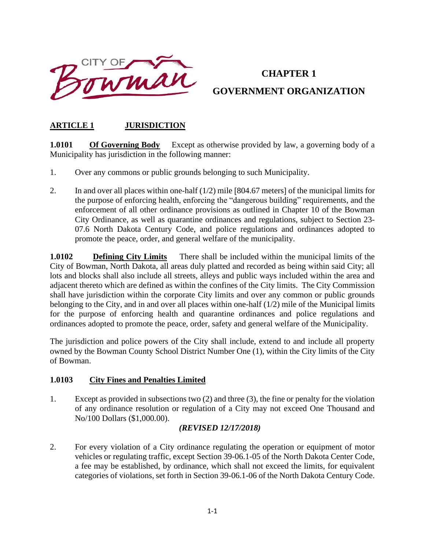

# **CHAPTER 1 GOVERNMENT ORGANIZATION**

## **ARTICLE 1 JURISDICTION**

**1.0101** Of Governing Body Except as otherwise provided by law, a governing body of a Municipality has jurisdiction in the following manner:

- 1. Over any commons or public grounds belonging to such Municipality.
- 2. In and over all places within one-half  $(1/2)$  mile [804.67 meters] of the municipal limits for the purpose of enforcing health, enforcing the "dangerous building" requirements, and the enforcement of all other ordinance provisions as outlined in Chapter 10 of the Bowman City Ordinance, as well as quarantine ordinances and regulations, subject to Section 23- 07.6 North Dakota Century Code, and police regulations and ordinances adopted to promote the peace, order, and general welfare of the municipality.

**1.0102 Defining City Limits** There shall be included within the municipal limits of the City of Bowman, North Dakota, all areas duly platted and recorded as being within said City; all lots and blocks shall also include all streets, alleys and public ways included within the area and adjacent thereto which are defined as within the confines of the City limits. The City Commission shall have jurisdiction within the corporate City limits and over any common or public grounds belonging to the City, and in and over all places within one-half (1/2) mile of the Municipal limits for the purpose of enforcing health and quarantine ordinances and police regulations and ordinances adopted to promote the peace, order, safety and general welfare of the Municipality.

The jurisdiction and police powers of the City shall include, extend to and include all property owned by the Bowman County School District Number One (1), within the City limits of the City of Bowman.

#### **1.0103 City Fines and Penalties Limited**

1. Except as provided in subsections two (2) and three (3), the fine or penalty for the violation of any ordinance resolution or regulation of a City may not exceed One Thousand and No/100 Dollars (\$1,000.00).

#### *(REVISED 12/17/2018)*

2. For every violation of a City ordinance regulating the operation or equipment of motor vehicles or regulating traffic, except Section 39-06.1-05 of the North Dakota Center Code, a fee may be established, by ordinance, which shall not exceed the limits, for equivalent categories of violations, set forth in Section 39-06.1-06 of the North Dakota Century Code.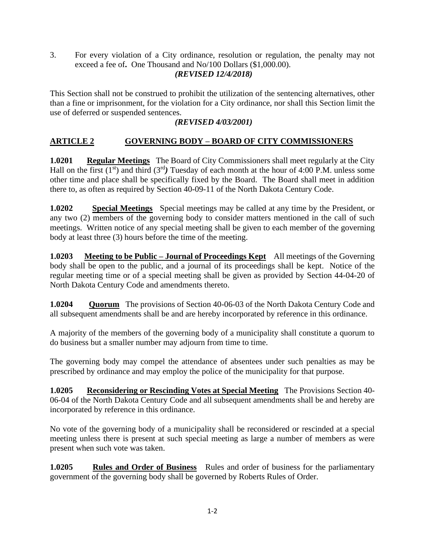3. For every violation of a City ordinance, resolution or regulation, the penalty may not exceed a fee of**.** One Thousand and No/100 Dollars (\$1,000.00).

#### *(REVISED 12/4/2018)*

This Section shall not be construed to prohibit the utilization of the sentencing alternatives, other than a fine or imprisonment, for the violation for a City ordinance, nor shall this Section limit the use of deferred or suspended sentences.

#### *(REVISED 4/03/2001)*

## **ARTICLE 2 GOVERNING BODY – BOARD OF CITY COMMISSIONERS**

**1.0201 Regular Meetings** The Board of City Commissioners shall meet regularly at the City Hall on the first  $(1^{st})$  and third  $(3^{rd})$  Tuesday of each month at the hour of 4:00 P.M. unless some other time and place shall be specifically fixed by the Board. The Board shall meet in addition there to, as often as required by Section 40-09-11 of the North Dakota Century Code.

**1.0202 Special Meetings** Special meetings may be called at any time by the President, or any two (2) members of the governing body to consider matters mentioned in the call of such meetings. Written notice of any special meeting shall be given to each member of the governing body at least three (3) hours before the time of the meeting.

**1.0203 Meeting to be Public – Journal of Proceedings Kept** All meetings of the Governing body shall be open to the public, and a journal of its proceedings shall be kept. Notice of the regular meeting time or of a special meeting shall be given as provided by Section 44-04-20 of North Dakota Century Code and amendments thereto.

**1.0204 Quorum** The provisions of Section 40-06-03 of the North Dakota Century Code and all subsequent amendments shall be and are hereby incorporated by reference in this ordinance.

A majority of the members of the governing body of a municipality shall constitute a quorum to do business but a smaller number may adjourn from time to time.

The governing body may compel the attendance of absentees under such penalties as may be prescribed by ordinance and may employ the police of the municipality for that purpose.

**1.0205 Reconsidering or Rescinding Votes at Special Meeting** The Provisions Section 40- 06-04 of the North Dakota Century Code and all subsequent amendments shall be and hereby are incorporated by reference in this ordinance.

No vote of the governing body of a municipality shall be reconsidered or rescinded at a special meeting unless there is present at such special meeting as large a number of members as were present when such vote was taken.

**1.0205 Rules and Order of Business** Rules and order of business for the parliamentary government of the governing body shall be governed by Roberts Rules of Order.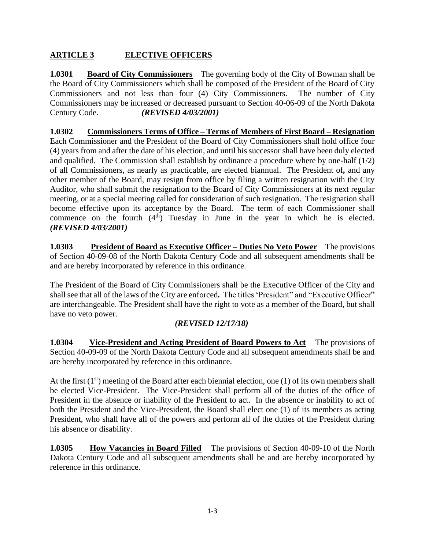# **ARTICLE 3 ELECTIVE OFFICERS**

**1.0301 Board of City Commissioners** The governing body of the City of Bowman shall be the Board of City Commissioners which shall be composed of the President of the Board of City Commissioners and not less than four (4) City Commissioners. The number of City Commissioners may be increased or decreased pursuant to Section 40-06-09 of the North Dakota Century Code. *(REVISED 4/03/2001)*

**1.0302 Commissioners Terms of Office – Terms of Members of First Board – Resignation** Each Commissioner and the President of the Board of City Commissioners shall hold office four (4) years from and after the date of his election, and until his successor shall have been duly elected and qualified. The Commission shall establish by ordinance a procedure where by one-half (1/2) of all Commissioners, as nearly as practicable, are elected biannual. The President of*,* and any other member of the Board, may resign from office by filing a written resignation with the City Auditor, who shall submit the resignation to the Board of City Commissioners at its next regular meeting, or at a special meeting called for consideration of such resignation. The resignation shall become effective upon its acceptance by the Board. The term of each Commissioner shall commence on the fourth  $(4<sup>th</sup>)$  Tuesday in June in the year in which he is elected. *(REVISED 4/03/2001)*

**1.0303 President of Board as Executive Officer – Duties No Veto Power** The provisions of Section 40-09-08 of the North Dakota Century Code and all subsequent amendments shall be and are hereby incorporated by reference in this ordinance.

The President of the Board of City Commissioners shall be the Executive Officer of the City and shall see that all of the laws of the City are enforced*.* The titles 'President" and "Executive Officer" are interchangeable. The President shall have the right to vote as a member of the Board, but shall have no veto power.

## *(REVISED 12/17/18)*

**1.0304 Vice-President and Acting President of Board Powers to Act** The provisions of Section 40-09-09 of the North Dakota Century Code and all subsequent amendments shall be and are hereby incorporated by reference in this ordinance.

At the first  $(1<sup>st</sup>)$  meeting of the Board after each biennial election, one (1) of its own members shall be elected Vice-President. The Vice-President shall perform all of the duties of the office of President in the absence or inability of the President to act. In the absence or inability to act of both the President and the Vice-President, the Board shall elect one (1) of its members as acting President, who shall have all of the powers and perform all of the duties of the President during his absence or disability.

**1.0305 How Vacancies in Board Filled** The provisions of Section 40-09-10 of the North Dakota Century Code and all subsequent amendments shall be and are hereby incorporated by reference in this ordinance.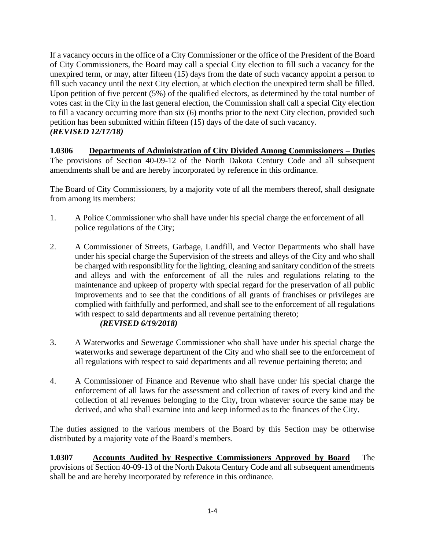If a vacancy occurs in the office of a City Commissioner or the office of the President of the Board of City Commissioners, the Board may call a special City election to fill such a vacancy for the unexpired term, or may, after fifteen (15) days from the date of such vacancy appoint a person to fill such vacancy until the next City election, at which election the unexpired term shall be filled. Upon petition of five percent (5%) of the qualified electors, as determined by the total number of votes cast in the City in the last general election, the Commission shall call a special City election to fill a vacancy occurring more than six (6) months prior to the next City election, provided such petition has been submitted within fifteen (15) days of the date of such vacancy. *(REVISED 12/17/18)*

**1.0306 Departments of Administration of City Divided Among Commissioners – Duties** The provisions of Section 40-09-12 of the North Dakota Century Code and all subsequent amendments shall be and are hereby incorporated by reference in this ordinance.

The Board of City Commissioners, by a majority vote of all the members thereof, shall designate from among its members:

- 1. A Police Commissioner who shall have under his special charge the enforcement of all police regulations of the City;
- 2. A Commissioner of Streets, Garbage, Landfill, and Vector Departments who shall have under his special charge the Supervision of the streets and alleys of the City and who shall be charged with responsibility for the lighting, cleaning and sanitary condition of the streets and alleys and with the enforcement of all the rules and regulations relating to the maintenance and upkeep of property with special regard for the preservation of all public improvements and to see that the conditions of all grants of franchises or privileges are complied with faithfully and performed, and shall see to the enforcement of all regulations with respect to said departments and all revenue pertaining thereto; *(REVISED 6/19/2018)*
- 3. A Waterworks and Sewerage Commissioner who shall have under his special charge the waterworks and sewerage department of the City and who shall see to the enforcement of all regulations with respect to said departments and all revenue pertaining thereto; and
- 4. A Commissioner of Finance and Revenue who shall have under his special charge the enforcement of all laws for the assessment and collection of taxes of every kind and the collection of all revenues belonging to the City, from whatever source the same may be derived, and who shall examine into and keep informed as to the finances of the City.

The duties assigned to the various members of the Board by this Section may be otherwise distributed by a majority vote of the Board's members.

**1.0307 Accounts Audited by Respective Commissioners Approved by Board** The provisions of Section 40-09-13 of the North Dakota Century Code and all subsequent amendments shall be and are hereby incorporated by reference in this ordinance.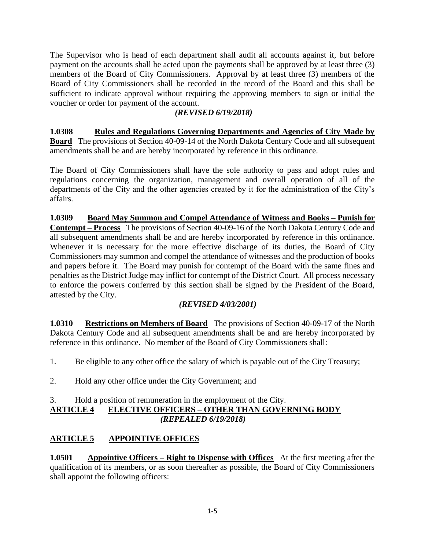The Supervisor who is head of each department shall audit all accounts against it, but before payment on the accounts shall be acted upon the payments shall be approved by at least three (3) members of the Board of City Commissioners. Approval by at least three (3) members of the Board of City Commissioners shall be recorded in the record of the Board and this shall be sufficient to indicate approval without requiring the approving members to sign or initial the voucher or order for payment of the account.

#### *(REVISED 6/19/2018)*

**1.0308 Rules and Regulations Governing Departments and Agencies of City Made by Board** The provisions of Section 40-09-14 of the North Dakota Century Code and all subsequent amendments shall be and are hereby incorporated by reference in this ordinance.

The Board of City Commissioners shall have the sole authority to pass and adopt rules and regulations concerning the organization, management and overall operation of all of the departments of the City and the other agencies created by it for the administration of the City's affairs.

**1.0309 Board May Summon and Compel Attendance of Witness and Books – Punish for Contempt – Process** The provisions of Section 40-09-16 of the North Dakota Century Code and all subsequent amendments shall be and are hereby incorporated by reference in this ordinance. Whenever it is necessary for the more effective discharge of its duties, the Board of City Commissioners may summon and compel the attendance of witnesses and the production of books and papers before it. The Board may punish for contempt of the Board with the same fines and penalties as the District Judge may inflict for contempt of the District Court. All process necessary to enforce the powers conferred by this section shall be signed by the President of the Board, attested by the City.

## *(REVISED 4/03/2001)*

**1.0310 Restrictions on Members of Board** The provisions of Section 40-09-17 of the North Dakota Century Code and all subsequent amendments shall be and are hereby incorporated by reference in this ordinance. No member of the Board of City Commissioners shall:

1. Be eligible to any other office the salary of which is payable out of the City Treasury;

2. Hold any other office under the City Government; and

#### 3. Hold a position of remuneration in the employment of the City. **ARTICLE 4 ELECTIVE OFFICERS – OTHER THAN GOVERNING BODY**   *(REPEALED 6/19/2018)*

## **ARTICLE 5 APPOINTIVE OFFICES**

**1.0501 Appointive Officers – Right to Dispense with Offices** At the first meeting after the qualification of its members, or as soon thereafter as possible, the Board of City Commissioners shall appoint the following officers: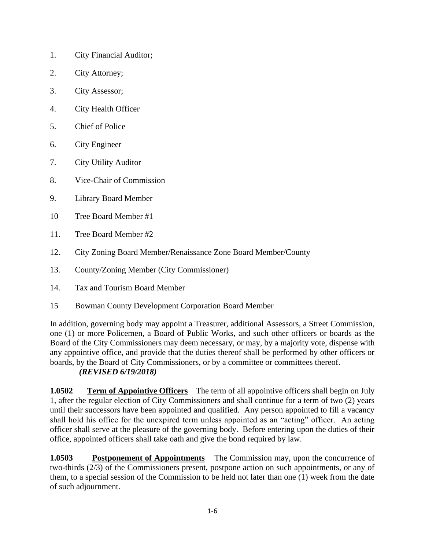- 1. City Financial Auditor;
- 2. City Attorney;
- 3. City Assessor;
- 4. City Health Officer
- 5. Chief of Police
- 6. City Engineer
- 7. City Utility Auditor
- 8. Vice-Chair of Commission
- 9. Library Board Member
- 10 Tree Board Member #1
- 11. Tree Board Member #2
- 12. City Zoning Board Member/Renaissance Zone Board Member/County
- 13. County/Zoning Member (City Commissioner)
- 14. Tax and Tourism Board Member
- 15 Bowman County Development Corporation Board Member

In addition, governing body may appoint a Treasurer, additional Assessors, a Street Commission, one (1) or more Policemen, a Board of Public Works, and such other officers or boards as the Board of the City Commissioners may deem necessary, or may, by a majority vote, dispense with any appointive office, and provide that the duties thereof shall be performed by other officers or boards, by the Board of City Commissioners, or by a committee or committees thereof. *(REVISED 6/19/2018)*

**1.0502 Term of Appointive Officers** The term of all appointive officers shall begin on July 1, after the regular election of City Commissioners and shall continue for a term of two (2) years until their successors have been appointed and qualified. Any person appointed to fill a vacancy shall hold his office for the unexpired term unless appointed as an "acting" officer. An acting officer shall serve at the pleasure of the governing body. Before entering upon the duties of their office, appointed officers shall take oath and give the bond required by law.

**1.0503 Postponement of Appointments** The Commission may, upon the concurrence of two-thirds (2/3) of the Commissioners present, postpone action on such appointments, or any of them, to a special session of the Commission to be held not later than one (1) week from the date of such adjournment.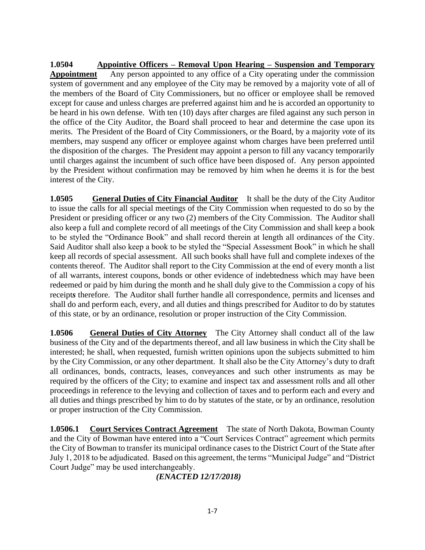**1.0504 Appointive Officers – Removal Upon Hearing – Suspension and Temporary Appointment** Any person appointed to any office of a City operating under the commission system of government and any employee of the City may be removed by a majority vote of all of the members of the Board of City Commissioners, but no officer or employee shall be removed except for cause and unless charges are preferred against him and he is accorded an opportunity to be heard in his own defense. With ten (10) days after charges are filed against any such person in the office of the City Auditor, the Board shall proceed to hear and determine the case upon its merits. The President of the Board of City Commissioners, or the Board, by a majority *v*ote of its members, may suspend any officer or employee against whom charges have been preferred until the disposition of the charges. The President may appoint a person to fill any vacancy temporarily until charges against the incumbent of such office have been disposed of. Any person appointed by the President without confirmation may be removed by him when he deems it is for the best interest of the City.

**1.0505 General Duties of City Financial Auditor** It shall be the duty of the City Auditor to issue the calls for all special meetings of the City Commission when requested to do so by the President or presiding officer or any two (2) members of the City Commission. The Auditor shall also keep a full and complete record of all meetings of the City Commission and shall keep a book to be styled the "Ordinance Book" and shall record therein at length all ordinances of the City. Said Auditor shall also keep a book to be styled the "Special Assessment Book" in which he shall keep all records of special assessment. All such books shall have full and complete indexes of the contents thereof. The Auditor shall report to the City Commission at the end of every month a list of all warrants, interest coupons, bonds or other evidence of indebtedness which may have been redeemed or paid by him during the month and he shall duly give to the Commission a copy of his receipt*s* therefore. The Auditor shall further handle all correspondence, permits and licenses and shall do and perform each, every, and all duties and things prescribed for Auditor to do by statutes of this state, or by an ordinance, resolution or proper instruction of the City Commission.

**1.0506 General Duties of City Attorney** The City Attorney shall conduct all of the law business of the City and of the departments thereof, and all law business in which the City shall be interested; he shall, when requested, furnish written opinions upon the subjects submitted to him by the City Commission, or any other department. It shall also be the City Attorney's duty to draft all ordinances, bonds, contracts, leases, conveyances and such other instruments as may be required by the officers of the City; to examine and inspect tax and assessment rolls and all other proceedings in reference to the levying and collection of taxes and to perform each and every and all duties and things prescribed by him to do by statutes of the state, or by an ordinance, resolution or proper instruction of the City Commission.

**1.0506.1 Court Services Contract Agreement** The state of North Dakota, Bowman County and the City of Bowman have entered into a "Court Services Contract" agreement which permits the City of Bowman to transfer its municipal ordinance cases to the District Court of the State after July 1, 2018 to be adjudicated. Based on this agreement, the terms "Municipal Judge" and "District Court Judge" may be used interchangeably.

*(ENACTED 12/17/2018)*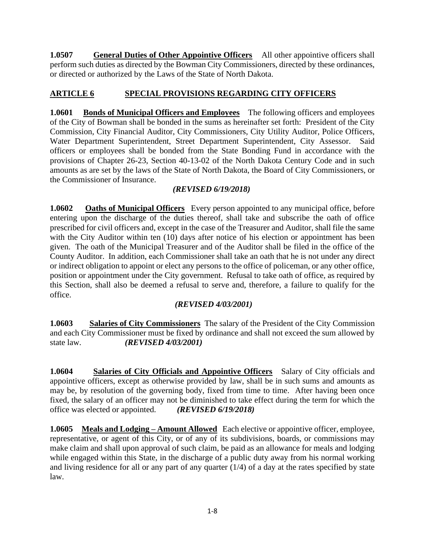**1.0507** General Duties of Other Appointive Officers All other appointive officers shall perform such duties as directed by the Bowman City Commissioners, directed by these ordinances, or directed or authorized by the Laws of the State of North Dakota.

## **ARTICLE 6 SPECIAL PROVISIONS REGARDING CITY OFFICERS**

**1.0601 Bonds of Municipal Officers and Employees** The following officers and employees of the City of Bowman shall be bonded in the sums as hereinafter set forth: President of the City Commission, City Financial Auditor, City Commissioners, City Utility Auditor, Police Officers, Water Department Superintendent, Street Department Superintendent, City Assessor. Said officers or employees shall be bonded from the State Bonding Fund in accordance with the provisions of Chapter 26-23, Section 40-13-02 of the North Dakota Century Code and in such amounts as are set by the laws of the State of North Dakota, the Board of City Commissioners, or the Commissioner of Insurance.

## *(REVISED 6/19/2018)*

**1.0602 Oaths of Municipal Officers** Every person appointed to any municipal office, before entering upon the discharge of the duties thereof, shall take and subscribe the oath of office prescribed for civil officers and, except in the case of the Treasurer and Auditor, shall file the same with the City Auditor within ten (10) days after notice of his election or appointment has been given. The oath of the Municipal Treasurer and of the Auditor shall be filed in the office of the County Auditor. In addition, each Commissioner shall take an oath that he is not under any direct or indirect obligation to appoint or elect any persons to the office of policeman, or any other office, position or appointment under the City government. Refusal to take oath of office, as required by this Section, shall also be deemed a refusal to serve and, therefore, a failure to qualify for the office.

## *(REVISED 4/03/2001)*

**1.0603 Salaries of City Commissioners** The salary of the President of the City Commission and each City Commissioner must be fixed by ordinance and shall not exceed the sum allowed by state law. *(REVISED 4/03/2001)*

**1.0604** Salaries of City Officials and Appointive Officers Salary of City officials and appointive officers, except as otherwise provided by law, shall be in such sums and amounts as may be, by resolution of the governing body, fixed from time to time. After having been once fixed, the salary of an officer may not be diminished to take effect during the term for which the office was elected or appointed. *(REVISED 6/19/2018)*

**1.0605 Meals and Lodging – Amount Allowed** Each elective or appointive officer, employee, representative, or agent of this City, or of any of its subdivisions, boards, or commissions may make claim and shall upon approval of such claim, be paid as an allowance for meals and lodging while engaged within this State, in the discharge of a public duty away from his normal working and living residence for all or any part of any quarter (1/4) of a day at the rates specified by state law.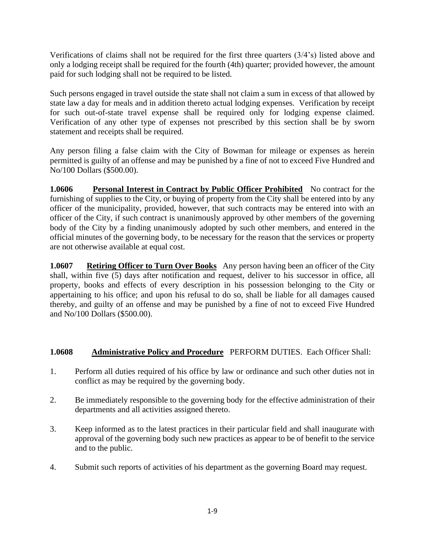Verifications of claims shall not be required for the first three quarters (3/4's) listed above and only a lodging receipt shall be required for the fourth (4th) quarter; provided however, the amount paid for such lodging shall not be required to be listed.

Such persons engaged in travel outside the state shall not claim a sum in excess of that allowed by state law a day for meals and in addition thereto actual lodging expenses. Verification by receipt for such out-of-state travel expense shall be required only for lodging expense claimed. Verification of any other type of expenses not prescribed by this section shall be by sworn statement and receipts shall be required.

Any person filing a false claim with the City of Bowman for mileage or expenses as herein permitted is guilty of an offense and may be punished by a fine of not to exceed Five Hundred and No/100 Dollars (\$500.00).

**1.0606** Personal Interest in Contract by Public Officer Prohibited No contract for the furnishing of supplies to the City, or buying of property from the City shall be entered into by any officer of the municipality, provided, however, that such contracts may be entered into with an officer of the City, if such contract is unanimously approved by other members of the governing body of the City by a finding unanimously adopted by such other members, and entered in the official minutes of the governing body, to be necessary for the reason that the services or property are not otherwise available at equal cost.

**1.0607** Retiring Officer to Turn Over Books Any person having been an officer of the City shall, within five (5) days after notification and request, deliver to his successor in office, all property, books and effects of every description in his possession belonging to the City or appertaining to his office; and upon his refusal to do so, shall be liable for all damages caused thereby, and guilty of an offense and may be punished by a fine of not to exceed Five Hundred and No/100 Dollars (\$500.00).

#### **1.0608 Administrative Policy and Procedure** PERFORM DUTIES. Each Officer Shall:

- 1. Perform all duties required of his office by law or ordinance and such other duties not in conflict as may be required by the governing body.
- 2. Be immediately responsible to the governing body for the effective administration of their departments and all activities assigned thereto.
- 3. Keep informed as to the latest practices in their particular field and shall inaugurate with approval of the governing body such new practices as appear to be of benefit to the service and to the public.
- 4. Submit such reports of activities of his department as the governing Board may request.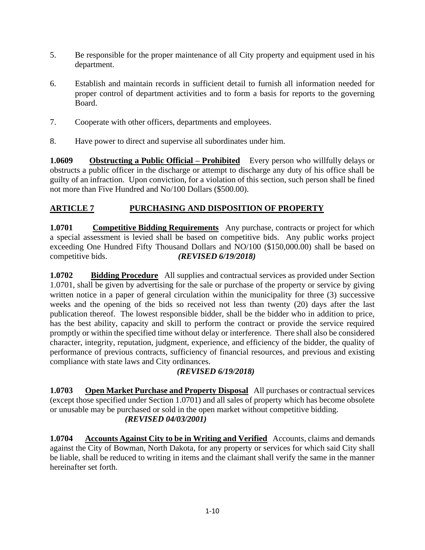- 5. Be responsible for the proper maintenance of all City property and equipment used in his department.
- 6. Establish and maintain records in sufficient detail to furnish all information needed for proper control of department activities and to form a basis for reports to the governing Board.
- 7. Cooperate with other officers, departments and employees.
- 8. Have power to direct and supervise all subordinates under him.

**1.0609 Obstructing a Public Official – Prohibited** Every person who willfully delays or obstructs a public officer in the discharge or attempt to discharge any duty of his office shall be guilty of an infraction. Upon conviction, for a violation of this section, such person shall be fined not more than Five Hundred and No/100 Dollars (\$500.00).

## **ARTICLE 7 PURCHASING AND DISPOSITION OF PROPERTY**

**1.0701** Competitive Bidding Requirements Any purchase, contracts or project for which a special assessment is levied shall be based on competitive bids. Any public works project exceeding One Hundred Fifty Thousand Dollars and NO/100 (\$150,000.00) shall be based on competitive bids. *(REVISED 6/19/2018)*

**1.0702 Bidding Procedure** All supplies and contractual services as provided under Section 1.0701, shall be given by advertising for the sale or purchase of the property or service by giving written notice in a paper of general circulation within the municipality for three (3) successive weeks and the opening of the bids so received not less than twenty (20) days after the last publication thereof. The lowest responsible bidder, shall be the bidder who in addition to price, has the best ability, capacity and skill to perform the contract or provide the service required promptly or within the specified time without delay or interference. There shall also be considered character, integrity, reputation, judgment, experience, and efficiency of the bidder, the quality of performance of previous contracts, sufficiency of financial resources, and previous and existing compliance with state laws and City ordinances.

## *(REVISED 6/19/2018)*

**1.0703 Open Market Purchase and Property Disposal** All purchases or contractual services (except those specified under Section 1.0701) and all sales of property which has become obsolete or unusable may be purchased or sold in the open market without competitive bidding. *(REVISED 04/03/2001)*

**1.0704 Accounts Against City to be in Writing and Verified** Accounts, claims and demands against the City of Bowman, North Dakota, for any property or services for which said City shall be liable, shall be reduced to writing in items and the claimant shall verify the same in the manner hereinafter set forth.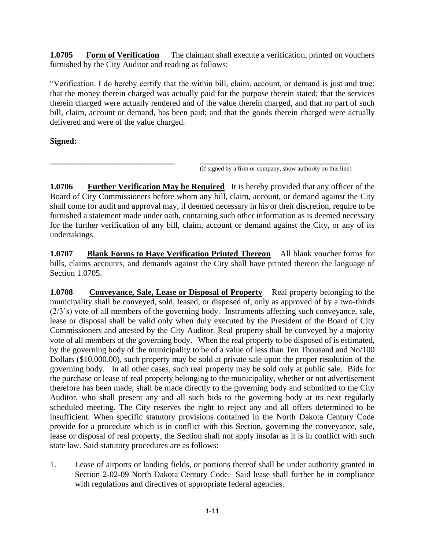**1.0705 Form of Verification** The claimant shall execute a verification, printed on vouchers furnished by the City Auditor and reading as follows:

"Verification. I do hereby certify that the within bill, claim, account, or demand is just and true; that the money therein charged was actually paid for the purpose therein stated; that the services therein charged were actually rendered and of the value therein charged, and that no part of such bill, claim, account or demand, has been paid; and that the goods therein charged were actually delivered and were of the value charged.

## **Signed:**

**\_\_\_\_\_\_\_\_\_\_\_\_\_\_\_\_\_\_\_\_\_\_\_\_\_\_\_\_\_\_ \_\_\_\_\_\_\_\_\_\_\_\_\_\_\_\_\_\_\_\_\_\_\_\_\_\_\_\_\_\_\_\_\_\_\_\_** (If signed by a firm or company, show authority on this line)

**1.0706 Further Verification May be Required** It is hereby provided that any officer of the Board of City Commissioners before whom any bill, claim, account, or demand against the City shall come for audit and approval may, if deemed necessary in his or their discretion, require to be furnished a statement made under oath, containing such other information as is deemed necessary for the further verification of any bill, claim, account or demand against the City, or any of its undertakings.

**1.0707 Blank Forms to Have Verification Printed Thereon** All blank voucher forms for bills, claims accounts, and demands against the City shall have printed thereon the language of Section 1.0705.

**1.0708 Conveyance, Sale, Lease or Disposal of Property** Real property belonging to the municipality shall be conveyed, sold, leased, or disposed of, only as approved of by a two-thirds (2/3's) vote of all members of the governing body. Instruments affecting such conveyance, sale, lease or disposal shall be valid only when duly executed by the President of the Board of City Commissioners and attested by the City Auditor. Real property shall be conveyed by a majority vote of all members of the governing body. When the real property to be disposed of is estimated, by the governing body of the municipality to be of a value of less than Ten Thousand and No/100 Dollars (\$10,000.00), such property may be sold at private sale upon the proper resolution of the governing body. In all other cases, such real property may be sold only at public sale. Bids for the purchase or lease of real property belonging to the municipality, whether or not advertisement therefore has been made, shall be made directly to the governing body and submitted to the City Auditor, who shall present any and all such bids to the governing body at its next regularly scheduled meeting. The City reserves the right to reject any and all offers determined to be insufficient. When specific statutory provisions contained in the North Dakota Century Code provide for a procedure which is in conflict with this Section, governing the conveyance, sale, lease or disposal of real property, the Section shall not apply insofar as it is in conflict with such state law. Said statutory procedures are as follows:

1. Lease of airports or landing fields, or portions thereof shall be under authority granted in Section 2-02**-**09 North Dakota Century Code. Said lease shall further be in compliance with regulations and directives of appropriate federal agencies.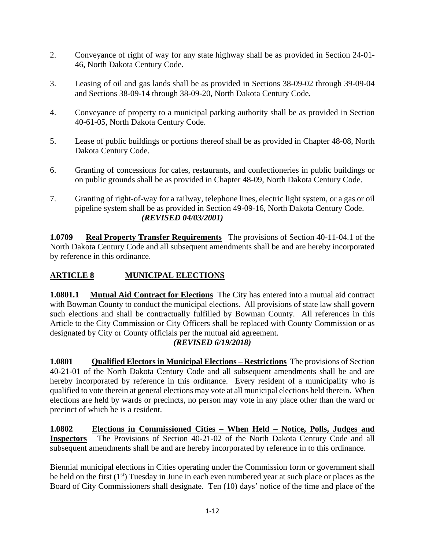- 2. Conveyance of right of way for any state highway shall be as provided in Section 24-01- 46, North Dakota Century Code.
- 3. Leasing of oil and gas lands shall be as provided in Sections 38-09-02 through 39-09-04 and Sections 38-09-14 through 38-09-20, North Dakota Century Code*.*
- 4. Conveyance of property to a municipal parking authority shall be as provided in Section 40-61-05, North Dakota Century Code.
- 5. Lease of public buildings or portions thereof shall be as provided in Chapter 48-08, North Dakota Century Code.
- 6. Granting of concessions for cafes, restaurants, and confectioneries in public buildings or on public grounds shall be as provided in Chapter 48-09, North Dakota Century Code.
- 7. Granting of right-of-way for a railway, telephone lines, electric light system, or a gas or oil pipeline system shall be as provided in Section 49-09-16, North Dakota Century Code. *(REVISED 04/03/2001)*

**1.0709 Real Property Transfer Requirements** The provisions of Section 40-11-04.1 of the North Dakota Century Code and all subsequent amendments shall be and are hereby incorporated by reference in this ordinance.

# **ARTICLE 8 MUNICIPAL ELECTIONS**

**1.0801.1 Mutual Aid Contract for Elections** The City has entered into a mutual aid contract with Bowman County to conduct the municipal elections. All provisions of state law shall govern such elections and shall be contractually fulfilled by Bowman County. All references in this Article to the City Commission or City Officers shall be replaced with County Commission or as designated by City or County officials per the mutual aid agreement.

#### *(REVISED 6/19/2018)*

**1.0801** Qualified Electors in Municipal Elections – Restrictions The provisions of Section 40-21-01 of the North Dakota Century Code and all subsequent amendments shall be and are hereby incorporated by reference in this ordinance. Every resident of a municipality who is qualified to vote therein at general elections may vote at all municipal elections held therein. When elections are held by wards or precincts, no person may vote in any place other than the ward or precinct of which he is a resident.

**1.0802 Elections in Commissioned Cities – When Held – Notice, Polls, Judges and Inspectors** The Provisions of Section 40-21-02 of the North Dakota Century Code and all subsequent amendments shall be and are hereby incorporated by reference in to this ordinance.

Biennial municipal elections in Cities operating under the Commission form or government shall be held on the first (1<sup>st</sup>) Tuesday in June in each even numbered year at such place or places as the Board of City Commissioners shall designate. Ten (10) days' notice of the time and place of the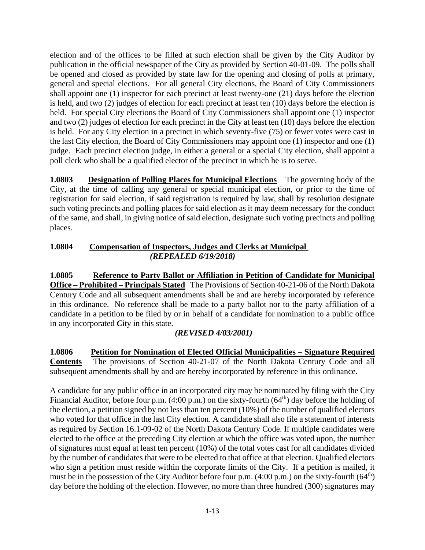election and of the offices to be filled at such election shall be given by the City Auditor by publication in the official newspaper of the City as provided by Section 40-01-09. The polls shall be opened and closed as provided by state law for the opening and closing of polls at primary, general and special elections. For all general City elections, the Board of City Commissioners shall appoint one (1) inspector for each precinct at least twenty-one (21) days before the election is held, and two (2) judges of election for each precinct at least ten (10) days before the election is held. For special City elections the Board of City Commissioners shall appoint one (1) inspector and two (2) judges of election for each precinct in the City at least ten (10) days before the election is held. For any City election in a precinct in which seventy-five (75) or fewer votes were cast in the last City election, the Board of City Commissioners may appoint one (1) inspector and one (1) judge. Each precinct election judge, in either a general or a special City election, shall appoint a poll clerk who shall be a qualified elector of the precinct in which he is to serve.

**1.0803 Designation of Polling Places for Municipal Elections** The governing body of the City, at the time of calling any general or special municipal election, or prior to the time of registration for said election, if said registration is required by law, shall by resolution designate such voting precincts and polling places for said election as it may deem necessary for the conduct of the same, and shall, in giving notice of said election, designate such voting precincts and polling places.

#### **1.0804 Compensation of Inspectors, Judges and Clerks at Municipal**  *(REPEALED 6/19/2018)*

**1.0805 Reference to Party Ballot or Affiliation in Petition of Candidate for Municipal Office – Prohibited – Principals Stated** The Provisions of Section 40-21-06 of the North Dakota Century Code and all subsequent amendments shall be and are hereby incorporated by reference in this ordinance. No reference shall be made to a party ballot nor to the party affiliation of a candidate in a petition to be filed by or in behalf of a candidate for nomination to a public office in any incorporated *C*ity in this state.

# *(REVISED 4/03/2001)*

**1.0806 Petition for Nomination of Elected Official Municipalities – Signature Required Contents** The provisions of Section 40-21-07 of the North Dakota Century Code and all subsequent amendments shall by and are hereby incorporated by reference in this ordinance.

A candidate for any public office in an incorporated city may be nominated by filing with the City Financial Auditor, before four p.m.  $(4:00 \text{ p.m.})$  on the sixty-fourth  $(64<sup>th</sup>)$  day before the holding of the election, a petition signed by not less than ten percent (10%) of the number of qualified electors who voted for that office in the last City election. A candidate shall also file a statement of interests as required by *S*ection 16.1-09-02 of the North Dakota Century Code. If multiple candidates were elected to the office at the preceding City election at which the office was voted upon, the number of signatures must equal at least ten percent (10%) of the total votes cast for all candidates divided by the number of candidates that were to be elected to that office at that election. Qualified electors who sign a petition must reside within the corporate limits of the City. If a petition is mailed, it must be in the possession of the City Auditor before four p.m.  $(4:00 \text{ p.m.})$  on the sixty-fourth  $(64<sup>th</sup>)$ day before the holding of the election. However, no more than three hundred (300) signatures may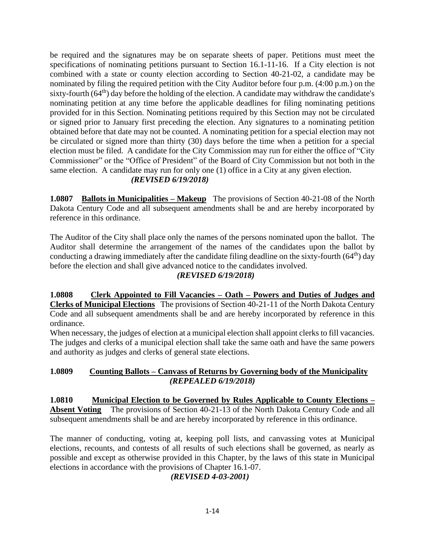be required and the signatures may be on separate sheets of paper. Petitions must meet the specifications of nominating petitions pursuant to Section 16.1-11-16. If a City election is not combined with a state or county election according to Section 40-21-02, a candidate may be nominated by filing the required petition with the City Auditor before four p.m. (4:00 p.m.) on the sixty-fourth  $(64<sup>th</sup>)$  day before the holding of the election. A candidate may withdraw the candidate's nominating petition at any time before the applicable deadlines for filing nominating petitions provided for in this Section. Nominating petitions required by this Section may not be circulated or signed prior to January first preceding the election. Any signatures to a nominating petition obtained before that date may not be counted. A nominating petition for a special election may not be circulated or signed more than thirty (30) days before the time when a petition for a special election must be filed. A candidate for the City Commission may run for either the office of "City Commissioner" or the "Office of President" of the Board of City Commission but not both in the same election. A candidate may run for only one (1) office in a City at any given election. *(REVISED 6/19/2018)*

#### **1.0807 Ballots in Municipalities – Makeup** The provisions of Section 40-21-08 of the North Dakota Century Code and all subsequent amendments shall be and are hereby incorporated by reference in this ordinance.

The Auditor of the City shall place only the names of the persons nominated upon the ballot. The Auditor shall determine the arrangement of the names of the candidates upon the ballot by conducting a drawing immediately after the candidate filing deadline on the sixty-fourth  $(64<sup>th</sup>)$  day before the election and shall give advanced notice to the candidates involved.

#### *(REVISED 6/19/2018)*

**1.0808 Clerk Appointed to Fill Vacancies – Oath – Powers and Duties of Judges and Clerks of Municipal Elections** The provisions of Section 40-21-11 of the North Dakota Century Code and all subsequent amendments shall be and are hereby incorporated by reference in this ordinance.

When necessary, the judges of election at a municipal election shall appoint clerks to fill vacancies. The judges and clerks of a municipal election shall take the same oath and have the same powers and authority as judges and clerks of general state elections.

#### **1.0809 Counting Ballots – Canvass of Returns by Governing body of the Municipality** *(REPEALED 6/19/2018)*

**1.0810 Municipal Election to be Governed by Rules Applicable to County Elections – Absent Voting** The provisions of Section 40-21-13 of the North Dakota Century Code and all subsequent amendments shall be and are hereby incorporated by reference in this ordinance.

The manner of conducting, voting at, keeping poll lists, and canvassing votes at Municipal elections, recounts, and contests of all results of such elections shall be governed, as nearly as possible and except as otherwise provided in this Chapter, by the laws of this state in Municipal elections in accordance with the provisions of Chapter 16.1-07.

# *(REVISED 4-03-2001)*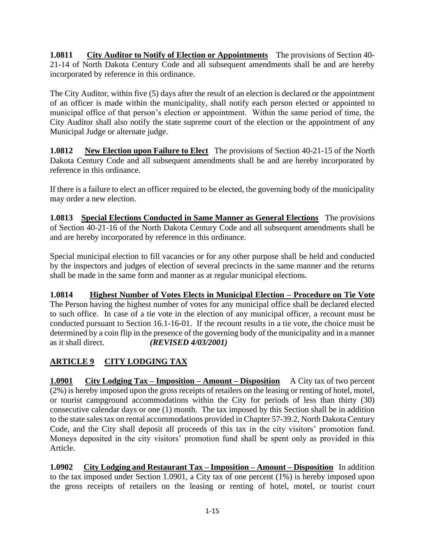**1.0811 City Auditor to Notify of Election or Appointments** The provisions of Section 40- 21-14 of North Dakota Century Code and all subsequent amendments shall be and are hereby incorporated by reference in this ordinance.

The City Auditor, within five (5) days after the result of an election is declared or the appointment of an officer is made within the municipality, shall notify each person elected or appointed to municipal office of that person's election or appointment. Within the same period of time, the City Auditor shall also notify the state supreme court of the election or the appointment of any Municipal Judge or alternate judge.

**1.0812** New Election upon Failure to Elect The provisions of Section 40-21-15 of the North Dakota Century Code and all subsequent amendments shall be and are hereby incorporated by reference in this ordinance.

If there is a failure to elect an officer required to be elected, the governing body of the municipality may order a new election.

**1.0813 Special Elections Conducted in Same Manner as General Elections** The provisions of Section 40-21-16 of the North Dakota Century Code and all subsequent amendments shall be and are hereby incorporated by reference in this ordinance.

Special municipal election to fill vacancies or for any other purpose shall be held and conducted by the inspectors and judges of election of several precincts in the same manner and the returns shall be made in the same form and manner as at regular municipal elections.

**1.0814 Highest Number of Votes Elects in Municipal Election – Procedure on Tie Vote** The Person having the highest number of votes for any municipal office shall be declared elected to such office. In case of a tie vote in the election of any municipal officer, a recount must be conducted pursuant to Section 16.1-16-01. If the recount results in a tie vote, the choice must be determined by a coin flip in the presence of the governing body of the municipality and in a manner as it shall direct. *(REVISED 4/03/2001)*

# **ARTICLE 9 CITY LODGING TAX**

**1.0901 City Lodging Tax – Imposition – Amount – Disposition** A City tax of two percent (2%) is hereby imposed upon the gross receipts of retailers on the leasing or renting of hotel, motel, or tourist campground accommodations within the City for periods of less than thirty (30) consecutive calendar days or one (1) month. The tax imposed by this Section shall be in addition to the state sales tax on rental accommodations provided in Chapter 57-39.2, North Dakota Century Code, and the City shall deposit all proceeds of this tax in the city visitors' promotion fund. Moneys deposited in the city visitors' promotion fund shall be spent only as provided in this Article.

**1.0902 City Lodging and Restaurant Tax – Imposition – Amount – Disposition** In addition to the tax imposed under Section 1.0901, a City tax of one percent (1%) is hereby imposed upon the gross receipts of retailers on the leasing or renting of hotel, motel, or tourist court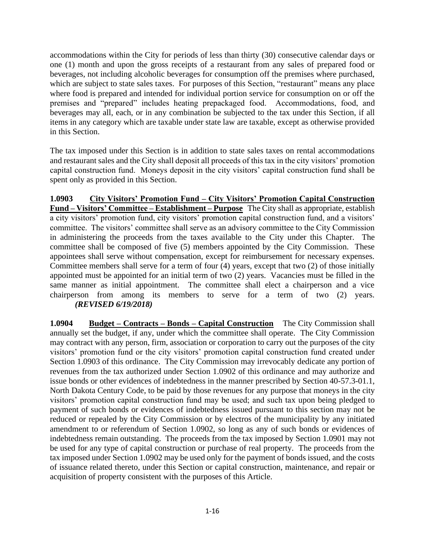accommodations within the City for periods of less than thirty (30) consecutive calendar days or one (1) month and upon the gross receipts of a restaurant from any sales of prepared food or beverages, not including alcoholic beverages for consumption off the premises where purchased, which are subject to state sales taxes. For purposes of this Section, "restaurant" means any place where food is prepared and intended for individual portion service for consumption on or off the premises and "prepared" includes heating prepackaged food. Accommodations, food, and beverages may all, each, or in any combination be subjected to the tax under this Section, if all items in any category which are taxable under state law are taxable, except as otherwise provided in this Section.

The tax imposed under this Section is in addition to state sales taxes on rental accommodations and restaurant sales and the City shall deposit all proceeds of this tax in the city visitors' promotion capital construction fund. Moneys deposit in the city visitors' capital construction fund shall be spent only as provided in this Section.

**1.0903 City Visitors' Promotion Fund – City Visitors' Promotion Capital Construction Fund – Visitors' Committee – Establishment – Purpose** The City shall as appropriate, establish a city visitors' promotion fund, city visitors' promotion capital construction fund, and a visitors' committee. The visitors' committee shall serve as an advisory committee to the City Commission in administering the proceeds from the taxes available to the City under this Chapter. The committee shall be composed of five (5) members appointed by the City Commission. These appointees shall serve without compensation, except for reimbursement for necessary expenses. Committee members shall serve for a term of four (4) years, except that two (2) of those initially appointed must be appointed for an initial term of two (2) years. Vacancies must be filled in the same manner as initial appointment. The committee shall elect a chairperson and a vice chairperson from among its members to serve for a term of two (2) years. *(REVISED 6/19/2018)*

**1.0904 Budget – Contracts – Bonds – Capital Construction** The City Commission shall annually set the budget, if any, under which the committee shall operate. The City Commission may contract with any person, firm, association or corporation to carry out the purposes of the city visitors' promotion fund or the city visitors' promotion capital construction fund created under Section 1.0903 of this ordinance. The City Commission may irrevocably dedicate any portion of revenues from the tax authorized under Section 1.0902 of this ordinance and may authorize and issue bonds or other evidences of indebtedness in the manner prescribed by Section 40-57.3-01.1, North Dakota Century Code, to be paid by those revenues for any purpose that moneys in the city visitors' promotion capital construction fund may be used; and such tax upon being pledged to payment of such bonds or evidences of indebtedness issued pursuant to this section may not be reduced or repealed by the City Commission or by electros of the municipality by any initiated amendment to or referendum of Section 1.0902, so long as any of such bonds or evidences of indebtedness remain outstanding. The proceeds from the tax imposed by Section 1.0901 may not be used for any type of capital construction or purchase of real property. The proceeds from the tax imposed under Section 1.0902 may be used only for the payment of bonds issued, and the costs of issuance related thereto, under this Section or capital construction, maintenance, and repair or acquisition of property consistent with the purposes of this Article.